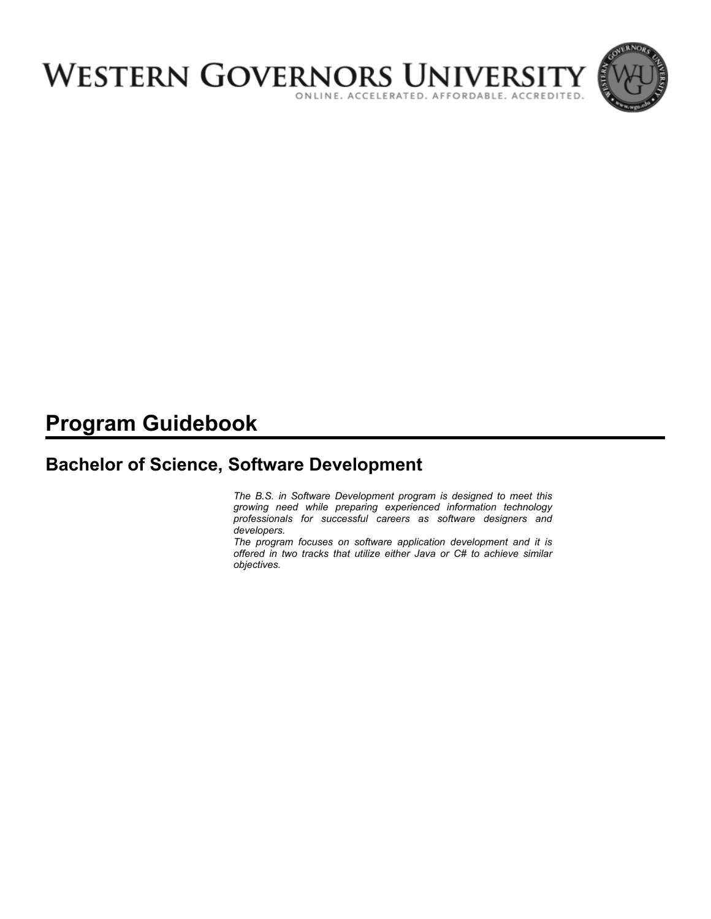

# **Program Guidebook**

# **Bachelor of Science, Software Development**

*The B.S. in Software Development program is designed to meet this growing need while preparing experienced information technology professionals for successful careers as software designers and developers.* 

*The program focuses on software application development and it is offered in two tracks that utilize either Java or C# to achieve similar objectives.*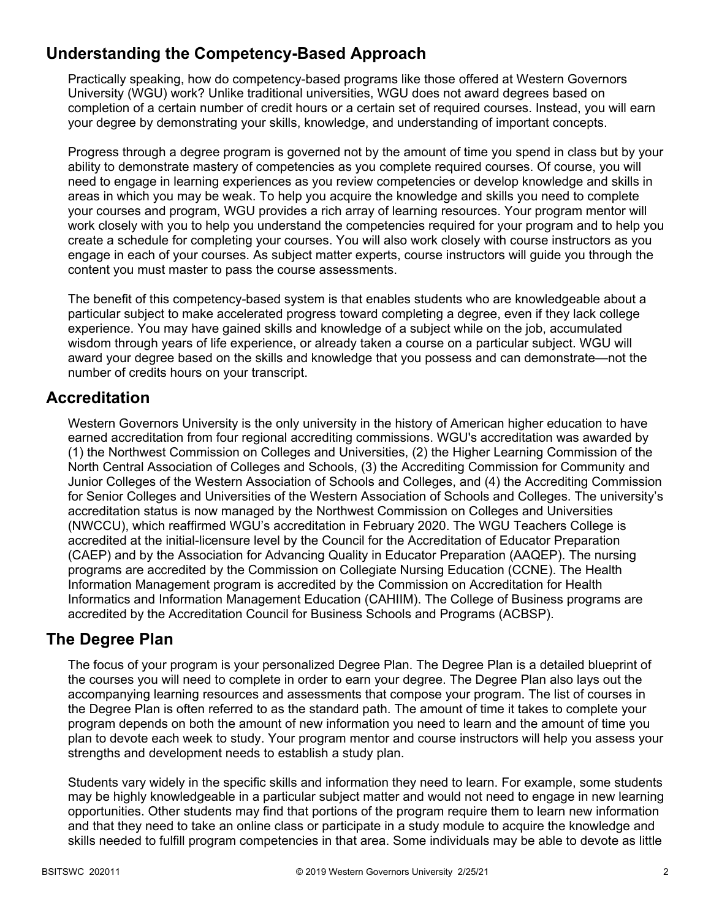# **Understanding the Competency-Based Approach**

Practically speaking, how do competency-based programs like those offered at Western Governors University (WGU) work? Unlike traditional universities, WGU does not award degrees based on completion of a certain number of credit hours or a certain set of required courses. Instead, you will earn your degree by demonstrating your skills, knowledge, and understanding of important concepts.

Progress through a degree program is governed not by the amount of time you spend in class but by your ability to demonstrate mastery of competencies as you complete required courses. Of course, you will need to engage in learning experiences as you review competencies or develop knowledge and skills in areas in which you may be weak. To help you acquire the knowledge and skills you need to complete your courses and program, WGU provides a rich array of learning resources. Your program mentor will work closely with you to help you understand the competencies required for your program and to help you create a schedule for completing your courses. You will also work closely with course instructors as you engage in each of your courses. As subject matter experts, course instructors will guide you through the content you must master to pass the course assessments.

The benefit of this competency-based system is that enables students who are knowledgeable about a particular subject to make accelerated progress toward completing a degree, even if they lack college experience. You may have gained skills and knowledge of a subject while on the job, accumulated wisdom through years of life experience, or already taken a course on a particular subject. WGU will award your degree based on the skills and knowledge that you possess and can demonstrate—not the number of credits hours on your transcript.

# **Accreditation**

Western Governors University is the only university in the history of American higher education to have earned accreditation from four regional accrediting commissions. WGU's accreditation was awarded by (1) the Northwest Commission on Colleges and Universities, (2) the Higher Learning Commission of the North Central Association of Colleges and Schools, (3) the Accrediting Commission for Community and Junior Colleges of the Western Association of Schools and Colleges, and (4) the Accrediting Commission for Senior Colleges and Universities of the Western Association of Schools and Colleges. The university's accreditation status is now managed by the Northwest Commission on Colleges and Universities (NWCCU), which reaffirmed WGU's accreditation in February 2020. The WGU Teachers College is accredited at the initial-licensure level by the Council for the Accreditation of Educator Preparation (CAEP) and by the Association for Advancing Quality in Educator Preparation (AAQEP). The nursing programs are accredited by the Commission on Collegiate Nursing Education (CCNE). The Health Information Management program is accredited by the Commission on Accreditation for Health Informatics and Information Management Education (CAHIIM). The College of Business programs are accredited by the Accreditation Council for Business Schools and Programs (ACBSP).

### **The Degree Plan**

The focus of your program is your personalized Degree Plan. The Degree Plan is a detailed blueprint of the courses you will need to complete in order to earn your degree. The Degree Plan also lays out the accompanying learning resources and assessments that compose your program. The list of courses in the Degree Plan is often referred to as the standard path. The amount of time it takes to complete your program depends on both the amount of new information you need to learn and the amount of time you plan to devote each week to study. Your program mentor and course instructors will help you assess your strengths and development needs to establish a study plan.

Students vary widely in the specific skills and information they need to learn. For example, some students may be highly knowledgeable in a particular subject matter and would not need to engage in new learning opportunities. Other students may find that portions of the program require them to learn new information and that they need to take an online class or participate in a study module to acquire the knowledge and skills needed to fulfill program competencies in that area. Some individuals may be able to devote as little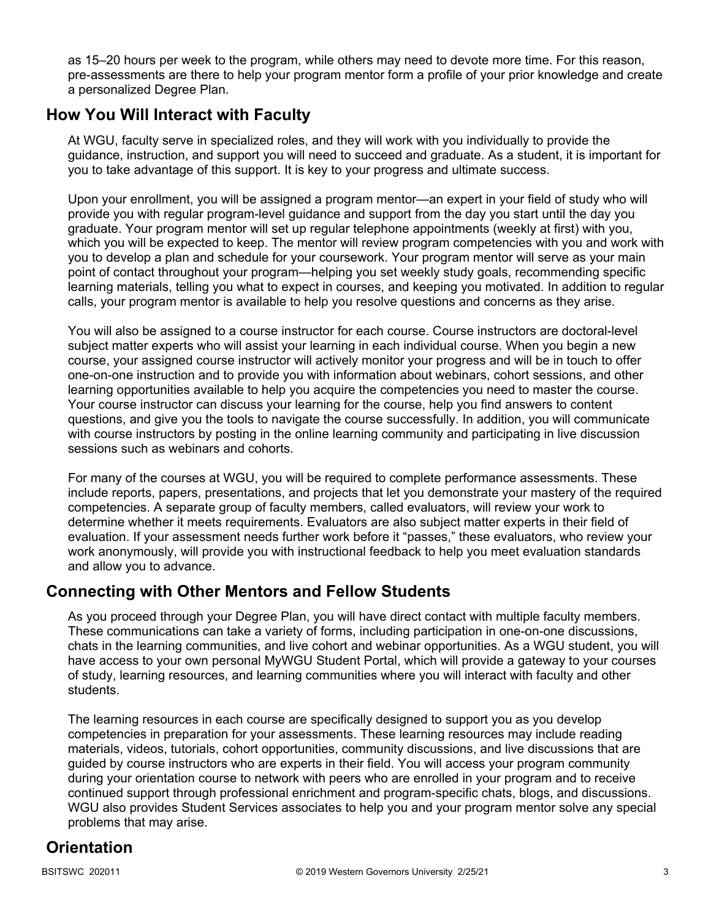as 15–20 hours per week to the program, while others may need to devote more time. For this reason, pre-assessments are there to help your program mentor form a profile of your prior knowledge and create a personalized Degree Plan.

# **How You Will Interact with Faculty**

At WGU, faculty serve in specialized roles, and they will work with you individually to provide the guidance, instruction, and support you will need to succeed and graduate. As a student, it is important for you to take advantage of this support. It is key to your progress and ultimate success.

Upon your enrollment, you will be assigned a program mentor—an expert in your field of study who will provide you with regular program-level guidance and support from the day you start until the day you graduate. Your program mentor will set up regular telephone appointments (weekly at first) with you, which you will be expected to keep. The mentor will review program competencies with you and work with you to develop a plan and schedule for your coursework. Your program mentor will serve as your main point of contact throughout your program—helping you set weekly study goals, recommending specific learning materials, telling you what to expect in courses, and keeping you motivated. In addition to regular calls, your program mentor is available to help you resolve questions and concerns as they arise.

You will also be assigned to a course instructor for each course. Course instructors are doctoral-level subject matter experts who will assist your learning in each individual course. When you begin a new course, your assigned course instructor will actively monitor your progress and will be in touch to offer one-on-one instruction and to provide you with information about webinars, cohort sessions, and other learning opportunities available to help you acquire the competencies you need to master the course. Your course instructor can discuss your learning for the course, help you find answers to content questions, and give you the tools to navigate the course successfully. In addition, you will communicate with course instructors by posting in the online learning community and participating in live discussion sessions such as webinars and cohorts.

For many of the courses at WGU, you will be required to complete performance assessments. These include reports, papers, presentations, and projects that let you demonstrate your mastery of the required competencies. A separate group of faculty members, called evaluators, will review your work to determine whether it meets requirements. Evaluators are also subject matter experts in their field of evaluation. If your assessment needs further work before it "passes," these evaluators, who review your work anonymously, will provide you with instructional feedback to help you meet evaluation standards and allow you to advance.

# **Connecting with Other Mentors and Fellow Students**

As you proceed through your Degree Plan, you will have direct contact with multiple faculty members. These communications can take a variety of forms, including participation in one-on-one discussions, chats in the learning communities, and live cohort and webinar opportunities. As a WGU student, you will have access to your own personal MyWGU Student Portal, which will provide a gateway to your courses of study, learning resources, and learning communities where you will interact with faculty and other students.

The learning resources in each course are specifically designed to support you as you develop competencies in preparation for your assessments. These learning resources may include reading materials, videos, tutorials, cohort opportunities, community discussions, and live discussions that are guided by course instructors who are experts in their field. You will access your program community during your orientation course to network with peers who are enrolled in your program and to receive continued support through professional enrichment and program-specific chats, blogs, and discussions. WGU also provides Student Services associates to help you and your program mentor solve any special problems that may arise.

# **Orientation**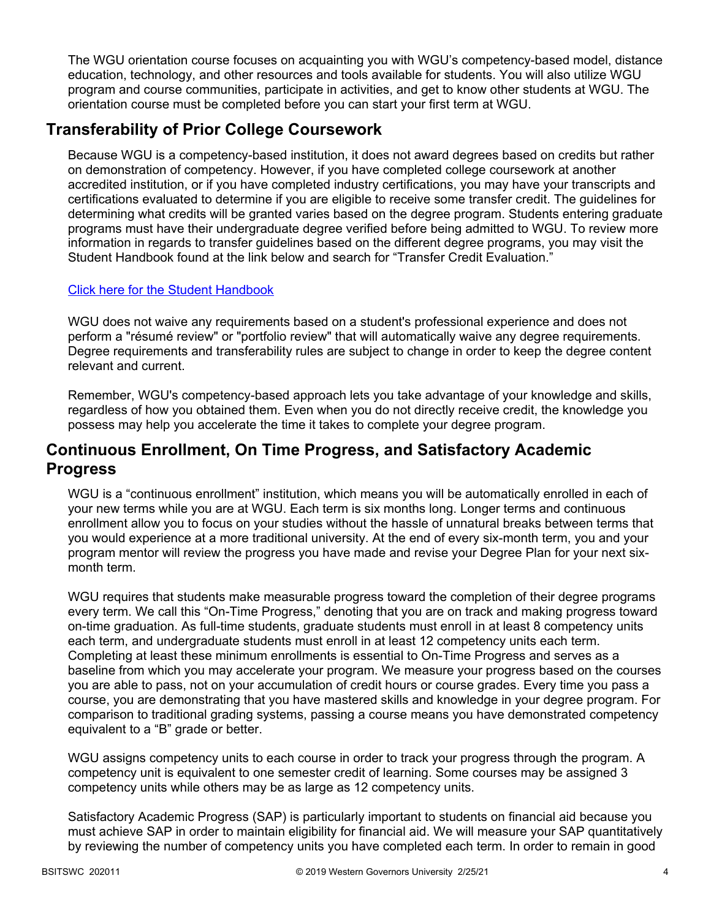The WGU orientation course focuses on acquainting you with WGU's competency-based model, distance education, technology, and other resources and tools available for students. You will also utilize WGU program and course communities, participate in activities, and get to know other students at WGU. The orientation course must be completed before you can start your first term at WGU.

# **Transferability of Prior College Coursework**

Because WGU is a competency-based institution, it does not award degrees based on credits but rather on demonstration of competency. However, if you have completed college coursework at another accredited institution, or if you have completed industry certifications, you may have your transcripts and certifications evaluated to determine if you are eligible to receive some transfer credit. The guidelines for determining what credits will be granted varies based on the degree program. Students entering graduate programs must have their undergraduate degree verified before being admitted to WGU. To review more information in regards to transfer guidelines based on the different degree programs, you may visit the Student Handbook found at the link below and search for "Transfer Credit Evaluation."

### [Click here for the Student Handbook](http://cm.wgu.edu/)

WGU does not waive any requirements based on a student's professional experience and does not perform a "résumé review" or "portfolio review" that will automatically waive any degree requirements. Degree requirements and transferability rules are subject to change in order to keep the degree content relevant and current.

Remember, WGU's competency-based approach lets you take advantage of your knowledge and skills, regardless of how you obtained them. Even when you do not directly receive credit, the knowledge you possess may help you accelerate the time it takes to complete your degree program.

# **Continuous Enrollment, On Time Progress, and Satisfactory Academic Progress**

WGU is a "continuous enrollment" institution, which means you will be automatically enrolled in each of your new terms while you are at WGU. Each term is six months long. Longer terms and continuous enrollment allow you to focus on your studies without the hassle of unnatural breaks between terms that you would experience at a more traditional university. At the end of every six-month term, you and your program mentor will review the progress you have made and revise your Degree Plan for your next sixmonth term.

WGU requires that students make measurable progress toward the completion of their degree programs every term. We call this "On-Time Progress," denoting that you are on track and making progress toward on-time graduation. As full-time students, graduate students must enroll in at least 8 competency units each term, and undergraduate students must enroll in at least 12 competency units each term. Completing at least these minimum enrollments is essential to On-Time Progress and serves as a baseline from which you may accelerate your program. We measure your progress based on the courses you are able to pass, not on your accumulation of credit hours or course grades. Every time you pass a course, you are demonstrating that you have mastered skills and knowledge in your degree program. For comparison to traditional grading systems, passing a course means you have demonstrated competency equivalent to a "B" grade or better.

WGU assigns competency units to each course in order to track your progress through the program. A competency unit is equivalent to one semester credit of learning. Some courses may be assigned 3 competency units while others may be as large as 12 competency units.

Satisfactory Academic Progress (SAP) is particularly important to students on financial aid because you must achieve SAP in order to maintain eligibility for financial aid. We will measure your SAP quantitatively by reviewing the number of competency units you have completed each term. In order to remain in good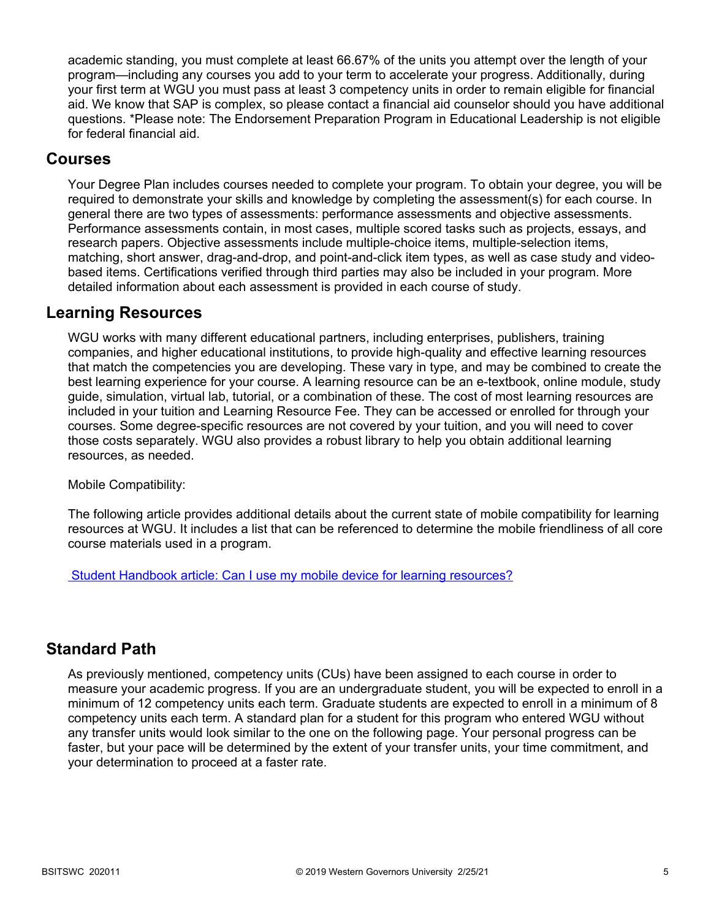academic standing, you must complete at least 66.67% of the units you attempt over the length of your program—including any courses you add to your term to accelerate your progress. Additionally, during your first term at WGU you must pass at least 3 competency units in order to remain eligible for financial aid. We know that SAP is complex, so please contact a financial aid counselor should you have additional questions. \*Please note: The Endorsement Preparation Program in Educational Leadership is not eligible for federal financial aid.

### **Courses**

Your Degree Plan includes courses needed to complete your program. To obtain your degree, you will be required to demonstrate your skills and knowledge by completing the assessment(s) for each course. In general there are two types of assessments: performance assessments and objective assessments. Performance assessments contain, in most cases, multiple scored tasks such as projects, essays, and research papers. Objective assessments include multiple-choice items, multiple-selection items, matching, short answer, drag-and-drop, and point-and-click item types, as well as case study and videobased items. Certifications verified through third parties may also be included in your program. More detailed information about each assessment is provided in each course of study.

### **Learning Resources**

WGU works with many different educational partners, including enterprises, publishers, training companies, and higher educational institutions, to provide high-quality and effective learning resources that match the competencies you are developing. These vary in type, and may be combined to create the best learning experience for your course. A learning resource can be an e-textbook, online module, study guide, simulation, virtual lab, tutorial, or a combination of these. The cost of most learning resources are included in your tuition and Learning Resource Fee. They can be accessed or enrolled for through your courses. Some degree-specific resources are not covered by your tuition, and you will need to cover those costs separately. WGU also provides a robust library to help you obtain additional learning resources, as needed.

Mobile Compatibility:

The following article provides additional details about the current state of mobile compatibility for learning resources at WGU. It includes a list that can be referenced to determine the mobile friendliness of all core course materials used in a program.

 [Student Handbook article: Can I use my mobile device for learning resources?](https://cm.wgu.edu/t5/Frequently-Asked-Questions/Can-I-use-my-mobile-device-for-learning-resources/ta-p/396)

### **Standard Path**

As previously mentioned, competency units (CUs) have been assigned to each course in order to measure your academic progress. If you are an undergraduate student, you will be expected to enroll in a minimum of 12 competency units each term. Graduate students are expected to enroll in a minimum of 8 competency units each term. A standard plan for a student for this program who entered WGU without any transfer units would look similar to the one on the following page. Your personal progress can be faster, but your pace will be determined by the extent of your transfer units, your time commitment, and your determination to proceed at a faster rate.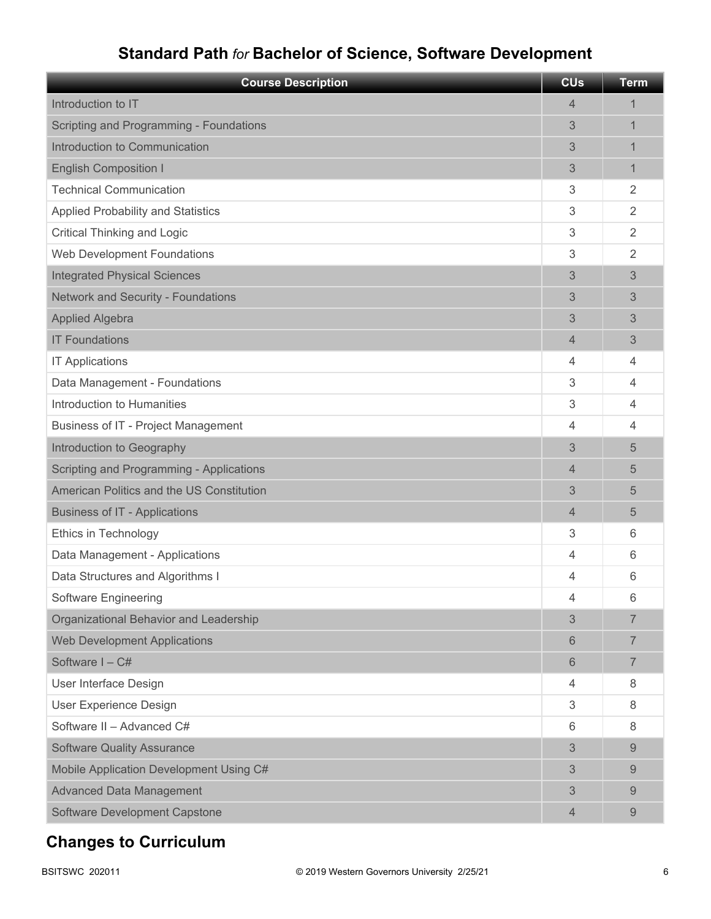# **Standard Path** *for* **Bachelor of Science, Software Development**

| <b>Course Description</b>                  | <b>CU<sub>s</sub></b> | <b>Term</b>    |
|--------------------------------------------|-----------------------|----------------|
| Introduction to IT                         | 4                     | 1              |
| Scripting and Programming - Foundations    | 3                     | 1              |
| Introduction to Communication              | 3                     | 1              |
| <b>English Composition I</b>               | 3                     | 1              |
| <b>Technical Communication</b>             | 3                     | $\overline{2}$ |
| <b>Applied Probability and Statistics</b>  | 3                     | $\overline{2}$ |
| <b>Critical Thinking and Logic</b>         | 3                     | $\overline{2}$ |
| Web Development Foundations                | 3                     | $\overline{2}$ |
| <b>Integrated Physical Sciences</b>        | 3                     | 3              |
| <b>Network and Security - Foundations</b>  | 3                     | 3              |
| <b>Applied Algebra</b>                     | 3                     | 3              |
| <b>IT Foundations</b>                      | 4                     | 3              |
| <b>IT Applications</b>                     | 4                     | 4              |
| Data Management - Foundations              | 3                     | 4              |
| Introduction to Humanities                 | 3                     | 4              |
| <b>Business of IT - Project Management</b> | 4                     | 4              |
| Introduction to Geography                  | 3                     | 5              |
| Scripting and Programming - Applications   | 4                     | 5              |
| American Politics and the US Constitution  | 3                     | 5              |
| <b>Business of IT - Applications</b>       | 4                     | 5              |
| Ethics in Technology                       | 3                     | 6              |
| Data Management - Applications             | 4                     | 6              |
| Data Structures and Algorithms I           | 4                     | 6              |
| <b>Software Engineering</b>                | 4                     | 6              |
| Organizational Behavior and Leadership     | 3                     | 7              |
| <b>Web Development Applications</b>        | 6                     | $\overline{7}$ |
| Software I-C#                              | 6                     | $\overline{7}$ |
| User Interface Design                      | 4                     | 8              |
| User Experience Design                     | 3                     | 8              |
| Software II - Advanced C#                  | 6                     | 8              |
| <b>Software Quality Assurance</b>          | 3                     | 9              |
| Mobile Application Development Using C#    | 3                     | 9              |
| <b>Advanced Data Management</b>            | 3                     | 9              |
| <b>Software Development Capstone</b>       | 4                     | 9              |

# **Changes to Curriculum**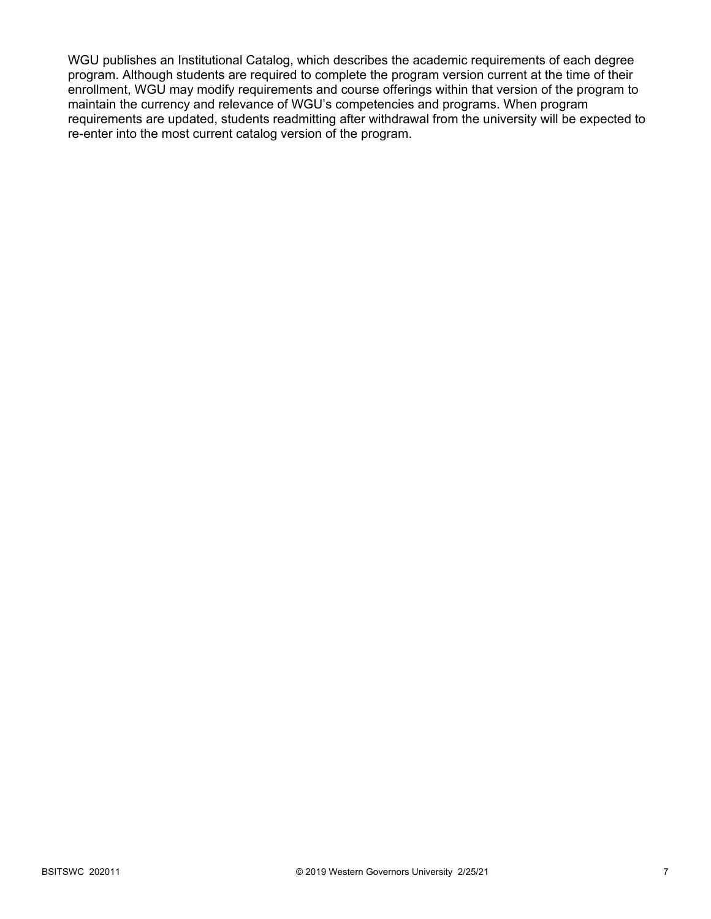WGU publishes an Institutional Catalog, which describes the academic requirements of each degree program. Although students are required to complete the program version current at the time of their enrollment, WGU may modify requirements and course offerings within that version of the program to maintain the currency and relevance of WGU's competencies and programs. When program requirements are updated, students readmitting after withdrawal from the university will be expected to re-enter into the most current catalog version of the program.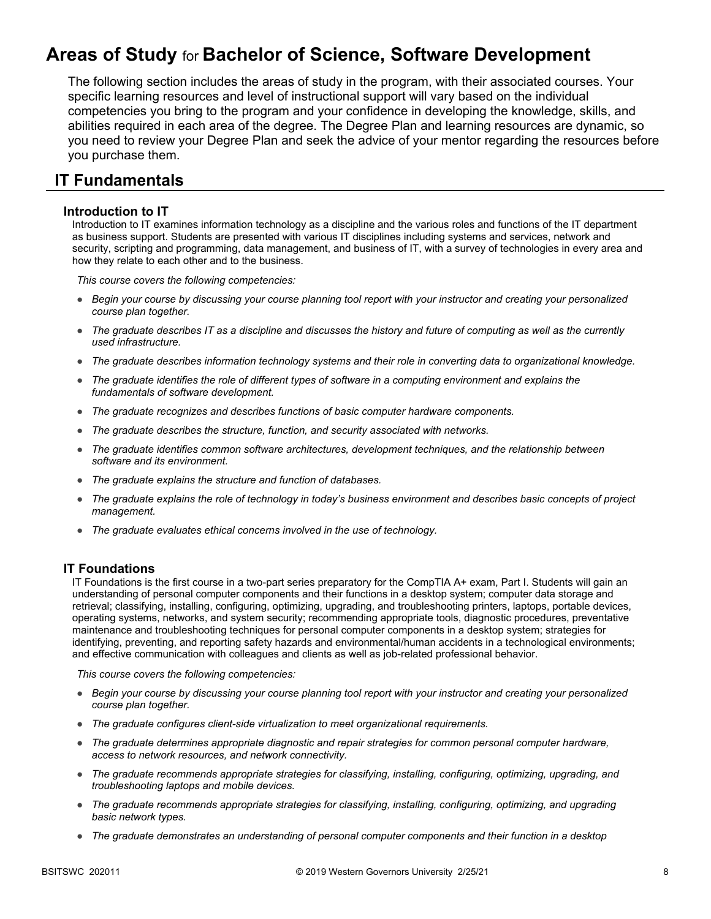# **Areas of Study** for **Bachelor of Science, Software Development**

The following section includes the areas of study in the program, with their associated courses. Your specific learning resources and level of instructional support will vary based on the individual competencies you bring to the program and your confidence in developing the knowledge, skills, and abilities required in each area of the degree. The Degree Plan and learning resources are dynamic, so you need to review your Degree Plan and seek the advice of your mentor regarding the resources before you purchase them.

### **IT Fundamentals**

### **Introduction to IT**

Introduction to IT examines information technology as a discipline and the various roles and functions of the IT department as business support. Students are presented with various IT disciplines including systems and services, network and security, scripting and programming, data management, and business of IT, with a survey of technologies in every area and how they relate to each other and to the business.

*This course covers the following competencies:*

- *Begin your course by discussing your course planning tool report with your instructor and creating your personalized course plan together.*
- *The graduate describes IT as a discipline and discusses the history and future of computing as well as the currently used infrastructure.*
- *The graduate describes information technology systems and their role in converting data to organizational knowledge.*
- *The graduate identifies the role of different types of software in a computing environment and explains the fundamentals of software development.*
- *The graduate recognizes and describes functions of basic computer hardware components.*
- *The graduate describes the structure, function, and security associated with networks.*
- *The graduate identifies common software architectures, development techniques, and the relationship between software and its environment.*
- *The graduate explains the structure and function of databases.*
- *The graduate explains the role of technology in today's business environment and describes basic concepts of project management.*
- *The graduate evaluates ethical concerns involved in the use of technology.*

### **IT Foundations**

IT Foundations is the first course in a two-part series preparatory for the CompTIA A+ exam, Part I. Students will gain an understanding of personal computer components and their functions in a desktop system; computer data storage and retrieval; classifying, installing, configuring, optimizing, upgrading, and troubleshooting printers, laptops, portable devices, operating systems, networks, and system security; recommending appropriate tools, diagnostic procedures, preventative maintenance and troubleshooting techniques for personal computer components in a desktop system; strategies for identifying, preventing, and reporting safety hazards and environmental/human accidents in a technological environments; and effective communication with colleagues and clients as well as job-related professional behavior.

- *Begin your course by discussing your course planning tool report with your instructor and creating your personalized course plan together.*
- *The graduate configures client-side virtualization to meet organizational requirements.*
- *The graduate determines appropriate diagnostic and repair strategies for common personal computer hardware, access to network resources, and network connectivity.*
- *The graduate recommends appropriate strategies for classifying, installing, configuring, optimizing, upgrading, and troubleshooting laptops and mobile devices.*
- *The graduate recommends appropriate strategies for classifying, installing, configuring, optimizing, and upgrading basic network types.*
- *The graduate demonstrates an understanding of personal computer components and their function in a desktop*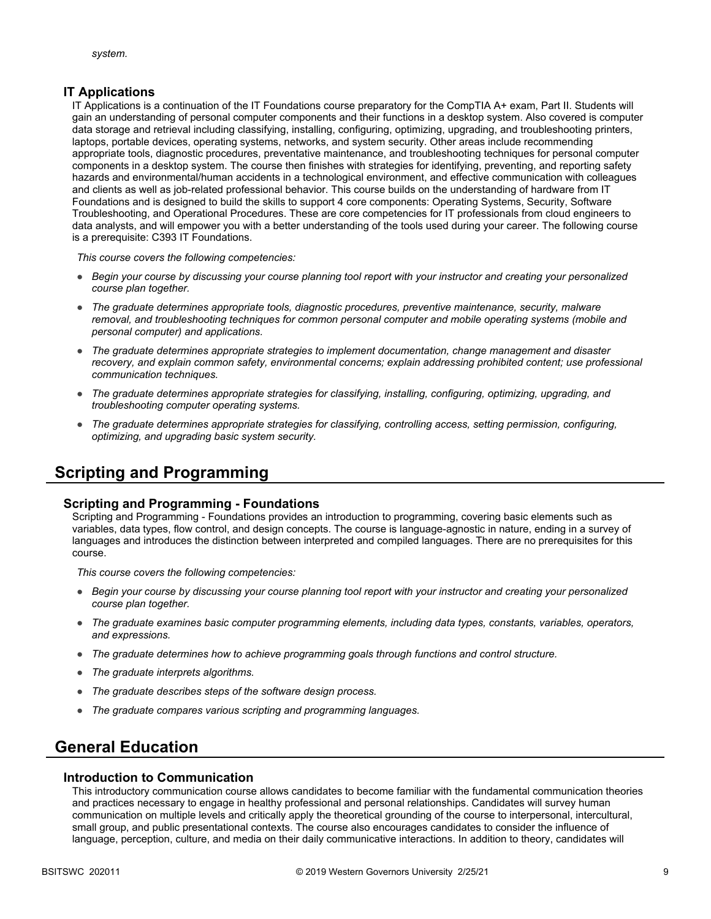### **IT Applications**

IT Applications is a continuation of the IT Foundations course preparatory for the CompTIA A+ exam, Part II. Students will gain an understanding of personal computer components and their functions in a desktop system. Also covered is computer data storage and retrieval including classifying, installing, configuring, optimizing, upgrading, and troubleshooting printers, laptops, portable devices, operating systems, networks, and system security. Other areas include recommending appropriate tools, diagnostic procedures, preventative maintenance, and troubleshooting techniques for personal computer components in a desktop system. The course then finishes with strategies for identifying, preventing, and reporting safety hazards and environmental/human accidents in a technological environment, and effective communication with colleagues and clients as well as job-related professional behavior. This course builds on the understanding of hardware from IT Foundations and is designed to build the skills to support 4 core components: Operating Systems, Security, Software Troubleshooting, and Operational Procedures. These are core competencies for IT professionals from cloud engineers to data analysts, and will empower you with a better understanding of the tools used during your career. The following course is a prerequisite: C393 IT Foundations.

*This course covers the following competencies:*

- *Begin your course by discussing your course planning tool report with your instructor and creating your personalized course plan together.*
- *The graduate determines appropriate tools, diagnostic procedures, preventive maintenance, security, malware removal, and troubleshooting techniques for common personal computer and mobile operating systems (mobile and personal computer) and applications.*
- *The graduate determines appropriate strategies to implement documentation, change management and disaster*  recovery, and explain common safety, environmental concerns; explain addressing prohibited content; use professional *communication techniques.*
- *The graduate determines appropriate strategies for classifying, installing, configuring, optimizing, upgrading, and troubleshooting computer operating systems.*
- *The graduate determines appropriate strategies for classifying, controlling access, setting permission, configuring, optimizing, and upgrading basic system security.*

# **Scripting and Programming**

### **Scripting and Programming - Foundations**

Scripting and Programming - Foundations provides an introduction to programming, covering basic elements such as variables, data types, flow control, and design concepts. The course is language-agnostic in nature, ending in a survey of languages and introduces the distinction between interpreted and compiled languages. There are no prerequisites for this course.

*This course covers the following competencies:*

- *Begin your course by discussing your course planning tool report with your instructor and creating your personalized course plan together.*
- *The graduate examines basic computer programming elements, including data types, constants, variables, operators, and expressions.*
- *The graduate determines how to achieve programming goals through functions and control structure.*
- *The graduate interprets algorithms.*
- *The graduate describes steps of the software design process.*
- *The graduate compares various scripting and programming languages.*

# **General Education**

#### **Introduction to Communication**

This introductory communication course allows candidates to become familiar with the fundamental communication theories and practices necessary to engage in healthy professional and personal relationships. Candidates will survey human communication on multiple levels and critically apply the theoretical grounding of the course to interpersonal, intercultural, small group, and public presentational contexts. The course also encourages candidates to consider the influence of language, perception, culture, and media on their daily communicative interactions. In addition to theory, candidates will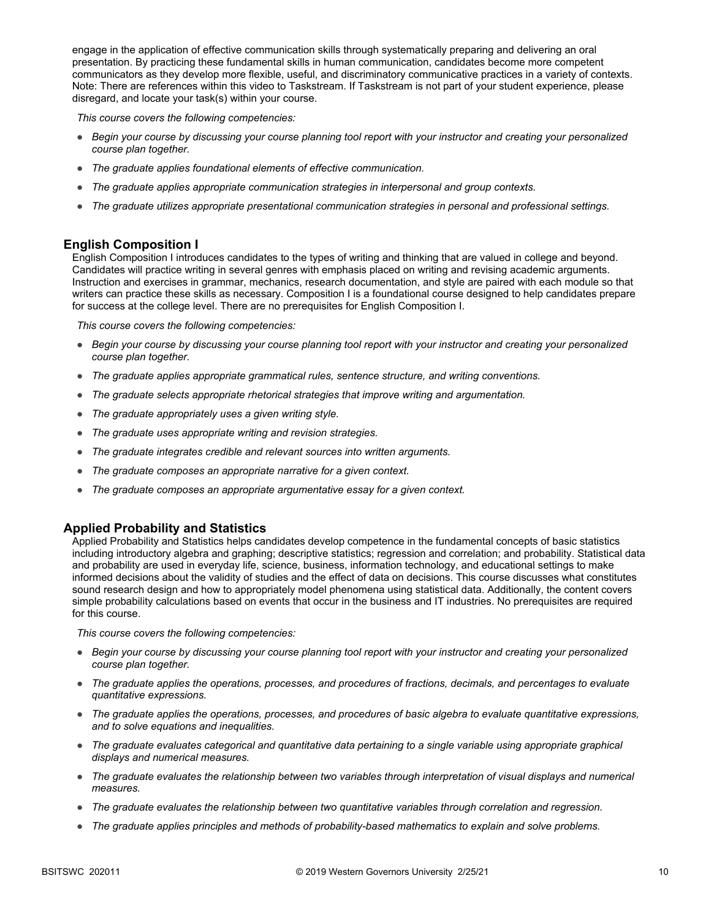engage in the application of effective communication skills through systematically preparing and delivering an oral presentation. By practicing these fundamental skills in human communication, candidates become more competent communicators as they develop more flexible, useful, and discriminatory communicative practices in a variety of contexts. Note: There are references within this video to Taskstream. If Taskstream is not part of your student experience, please disregard, and locate your task(s) within your course.

*This course covers the following competencies:*

- *Begin your course by discussing your course planning tool report with your instructor and creating your personalized course plan together.*
- *The graduate applies foundational elements of effective communication.*
- *The graduate applies appropriate communication strategies in interpersonal and group contexts.*
- *The graduate utilizes appropriate presentational communication strategies in personal and professional settings.*

### **English Composition I**

English Composition I introduces candidates to the types of writing and thinking that are valued in college and beyond. Candidates will practice writing in several genres with emphasis placed on writing and revising academic arguments. Instruction and exercises in grammar, mechanics, research documentation, and style are paired with each module so that writers can practice these skills as necessary. Composition I is a foundational course designed to help candidates prepare for success at the college level. There are no prerequisites for English Composition I.

*This course covers the following competencies:*

- *Begin your course by discussing your course planning tool report with your instructor and creating your personalized course plan together.*
- *The graduate applies appropriate grammatical rules, sentence structure, and writing conventions.*
- *The graduate selects appropriate rhetorical strategies that improve writing and argumentation.*
- *The graduate appropriately uses a given writing style.*
- *The graduate uses appropriate writing and revision strategies.*
- *The graduate integrates credible and relevant sources into written arguments.*
- *The graduate composes an appropriate narrative for a given context.*
- *The graduate composes an appropriate argumentative essay for a given context.*

### **Applied Probability and Statistics**

Applied Probability and Statistics helps candidates develop competence in the fundamental concepts of basic statistics including introductory algebra and graphing; descriptive statistics; regression and correlation; and probability. Statistical data and probability are used in everyday life, science, business, information technology, and educational settings to make informed decisions about the validity of studies and the effect of data on decisions. This course discusses what constitutes sound research design and how to appropriately model phenomena using statistical data. Additionally, the content covers simple probability calculations based on events that occur in the business and IT industries. No prerequisites are required for this course.

- *Begin your course by discussing your course planning tool report with your instructor and creating your personalized course plan together.*
- *The graduate applies the operations, processes, and procedures of fractions, decimals, and percentages to evaluate quantitative expressions.*
- *The graduate applies the operations, processes, and procedures of basic algebra to evaluate quantitative expressions, and to solve equations and inequalities.*
- *The graduate evaluates categorical and quantitative data pertaining to a single variable using appropriate graphical displays and numerical measures.*
- *The graduate evaluates the relationship between two variables through interpretation of visual displays and numerical measures.*
- *The graduate evaluates the relationship between two quantitative variables through correlation and regression.*
- *The graduate applies principles and methods of probability-based mathematics to explain and solve problems.*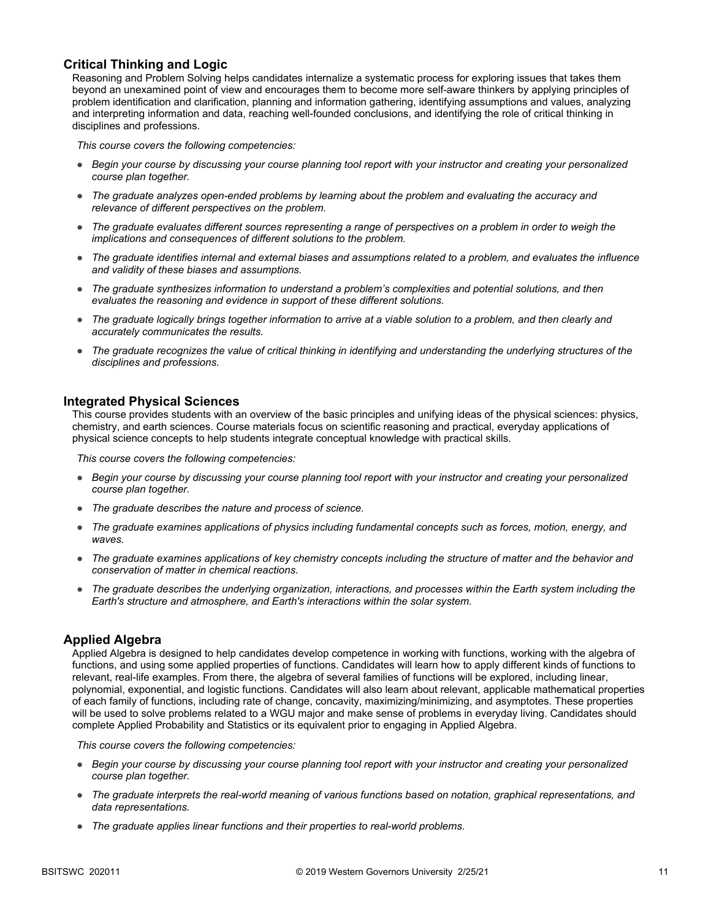### **Critical Thinking and Logic**

Reasoning and Problem Solving helps candidates internalize a systematic process for exploring issues that takes them beyond an unexamined point of view and encourages them to become more self-aware thinkers by applying principles of problem identification and clarification, planning and information gathering, identifying assumptions and values, analyzing and interpreting information and data, reaching well-founded conclusions, and identifying the role of critical thinking in disciplines and professions.

*This course covers the following competencies:*

- *Begin your course by discussing your course planning tool report with your instructor and creating your personalized course plan together.*
- *The graduate analyzes open-ended problems by learning about the problem and evaluating the accuracy and relevance of different perspectives on the problem.*
- *The graduate evaluates different sources representing a range of perspectives on a problem in order to weigh the implications and consequences of different solutions to the problem.*
- *The graduate identifies internal and external biases and assumptions related to a problem, and evaluates the influence and validity of these biases and assumptions.*
- *The graduate synthesizes information to understand a problem's complexities and potential solutions, and then evaluates the reasoning and evidence in support of these different solutions.*
- *The graduate logically brings together information to arrive at a viable solution to a problem, and then clearly and accurately communicates the results.*
- *The graduate recognizes the value of critical thinking in identifying and understanding the underlying structures of the disciplines and professions.*

### **Integrated Physical Sciences**

This course provides students with an overview of the basic principles and unifying ideas of the physical sciences: physics, chemistry, and earth sciences. Course materials focus on scientific reasoning and practical, everyday applications of physical science concepts to help students integrate conceptual knowledge with practical skills.

*This course covers the following competencies:*

- *Begin your course by discussing your course planning tool report with your instructor and creating your personalized course plan together.*
- *The graduate describes the nature and process of science.*
- *The graduate examines applications of physics including fundamental concepts such as forces, motion, energy, and waves.*
- *The graduate examines applications of key chemistry concepts including the structure of matter and the behavior and conservation of matter in chemical reactions.*
- *The graduate describes the underlying organization, interactions, and processes within the Earth system including the Earth's structure and atmosphere, and Earth's interactions within the solar system.*

### **Applied Algebra**

Applied Algebra is designed to help candidates develop competence in working with functions, working with the algebra of functions, and using some applied properties of functions. Candidates will learn how to apply different kinds of functions to relevant, real-life examples. From there, the algebra of several families of functions will be explored, including linear, polynomial, exponential, and logistic functions. Candidates will also learn about relevant, applicable mathematical properties of each family of functions, including rate of change, concavity, maximizing/minimizing, and asymptotes. These properties will be used to solve problems related to a WGU major and make sense of problems in everyday living. Candidates should complete Applied Probability and Statistics or its equivalent prior to engaging in Applied Algebra.

- *Begin your course by discussing your course planning tool report with your instructor and creating your personalized course plan together.*
- *The graduate interprets the real-world meaning of various functions based on notation, graphical representations, and data representations.*
- *The graduate applies linear functions and their properties to real-world problems.*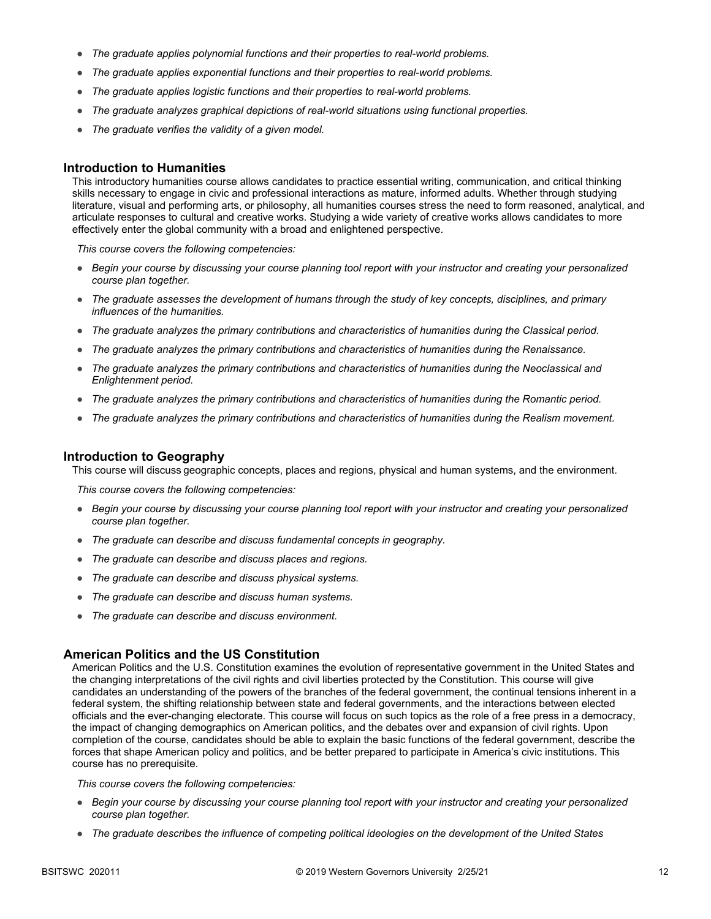- *The graduate applies polynomial functions and their properties to real-world problems.*
- *The graduate applies exponential functions and their properties to real-world problems.*
- *The graduate applies logistic functions and their properties to real-world problems.*
- *The graduate analyzes graphical depictions of real-world situations using functional properties.*
- *The graduate verifies the validity of a given model.*

### **Introduction to Humanities**

This introductory humanities course allows candidates to practice essential writing, communication, and critical thinking skills necessary to engage in civic and professional interactions as mature, informed adults. Whether through studying literature, visual and performing arts, or philosophy, all humanities courses stress the need to form reasoned, analytical, and articulate responses to cultural and creative works. Studying a wide variety of creative works allows candidates to more effectively enter the global community with a broad and enlightened perspective.

*This course covers the following competencies:*

- *Begin your course by discussing your course planning tool report with your instructor and creating your personalized course plan together.*
- *The graduate assesses the development of humans through the study of key concepts, disciplines, and primary influences of the humanities.*
- *The graduate analyzes the primary contributions and characteristics of humanities during the Classical period.*
- *The graduate analyzes the primary contributions and characteristics of humanities during the Renaissance.*
- *The graduate analyzes the primary contributions and characteristics of humanities during the Neoclassical and Enlightenment period.*
- *The graduate analyzes the primary contributions and characteristics of humanities during the Romantic period.*
- *The graduate analyzes the primary contributions and characteristics of humanities during the Realism movement.*

#### **Introduction to Geography**

This course will discuss geographic concepts, places and regions, physical and human systems, and the environment.

*This course covers the following competencies:*

- *Begin your course by discussing your course planning tool report with your instructor and creating your personalized course plan together.*
- *The graduate can describe and discuss fundamental concepts in geography.*
- *The graduate can describe and discuss places and regions.*
- *The graduate can describe and discuss physical systems.*
- *The graduate can describe and discuss human systems.*
- *The graduate can describe and discuss environment.*

### **American Politics and the US Constitution**

American Politics and the U.S. Constitution examines the evolution of representative government in the United States and the changing interpretations of the civil rights and civil liberties protected by the Constitution. This course will give candidates an understanding of the powers of the branches of the federal government, the continual tensions inherent in a federal system, the shifting relationship between state and federal governments, and the interactions between elected officials and the ever-changing electorate. This course will focus on such topics as the role of a free press in a democracy, the impact of changing demographics on American politics, and the debates over and expansion of civil rights. Upon completion of the course, candidates should be able to explain the basic functions of the federal government, describe the forces that shape American policy and politics, and be better prepared to participate in America's civic institutions. This course has no prerequisite.

- *Begin your course by discussing your course planning tool report with your instructor and creating your personalized course plan together.*
- *The graduate describes the influence of competing political ideologies on the development of the United States*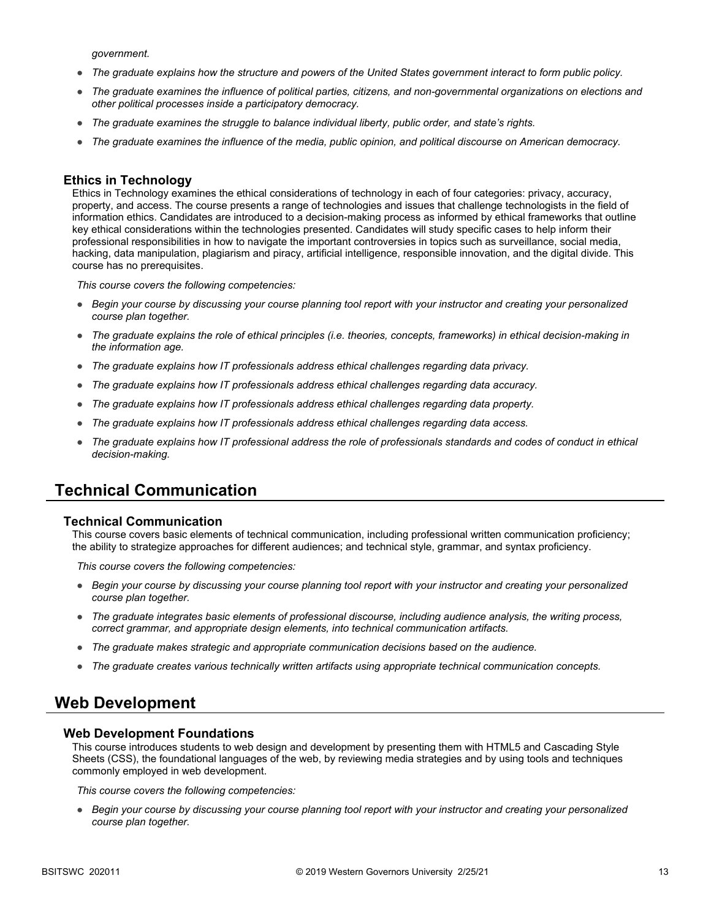*government.*

- *The graduate explains how the structure and powers of the United States government interact to form public policy.*
- *The graduate examines the influence of political parties, citizens, and non-governmental organizations on elections and other political processes inside a participatory democracy.*
- *The graduate examines the struggle to balance individual liberty, public order, and state's rights.*
- *The graduate examines the influence of the media, public opinion, and political discourse on American democracy.*

### **Ethics in Technology**

Ethics in Technology examines the ethical considerations of technology in each of four categories: privacy, accuracy, property, and access. The course presents a range of technologies and issues that challenge technologists in the field of information ethics. Candidates are introduced to a decision-making process as informed by ethical frameworks that outline key ethical considerations within the technologies presented. Candidates will study specific cases to help inform their professional responsibilities in how to navigate the important controversies in topics such as surveillance, social media, hacking, data manipulation, plagiarism and piracy, artificial intelligence, responsible innovation, and the digital divide. This course has no prerequisites.

*This course covers the following competencies:*

- *Begin your course by discussing your course planning tool report with your instructor and creating your personalized course plan together.*
- *The graduate explains the role of ethical principles (i.e. theories, concepts, frameworks) in ethical decision-making in the information age.*
- *The graduate explains how IT professionals address ethical challenges regarding data privacy.*
- *The graduate explains how IT professionals address ethical challenges regarding data accuracy.*
- *The graduate explains how IT professionals address ethical challenges regarding data property.*
- *The graduate explains how IT professionals address ethical challenges regarding data access.*
- *The graduate explains how IT professional address the role of professionals standards and codes of conduct in ethical decision-making.*

### **Technical Communication**

#### **Technical Communication**

This course covers basic elements of technical communication, including professional written communication proficiency; the ability to strategize approaches for different audiences; and technical style, grammar, and syntax proficiency.

*This course covers the following competencies:*

- *Begin your course by discussing your course planning tool report with your instructor and creating your personalized course plan together.*
- *The graduate integrates basic elements of professional discourse, including audience analysis, the writing process, correct grammar, and appropriate design elements, into technical communication artifacts.*
- *The graduate makes strategic and appropriate communication decisions based on the audience.*
- *The graduate creates various technically written artifacts using appropriate technical communication concepts.*

### **Web Development**

#### **Web Development Foundations**

This course introduces students to web design and development by presenting them with HTML5 and Cascading Style Sheets (CSS), the foundational languages of the web, by reviewing media strategies and by using tools and techniques commonly employed in web development.

*This course covers the following competencies:*

● *Begin your course by discussing your course planning tool report with your instructor and creating your personalized course plan together.*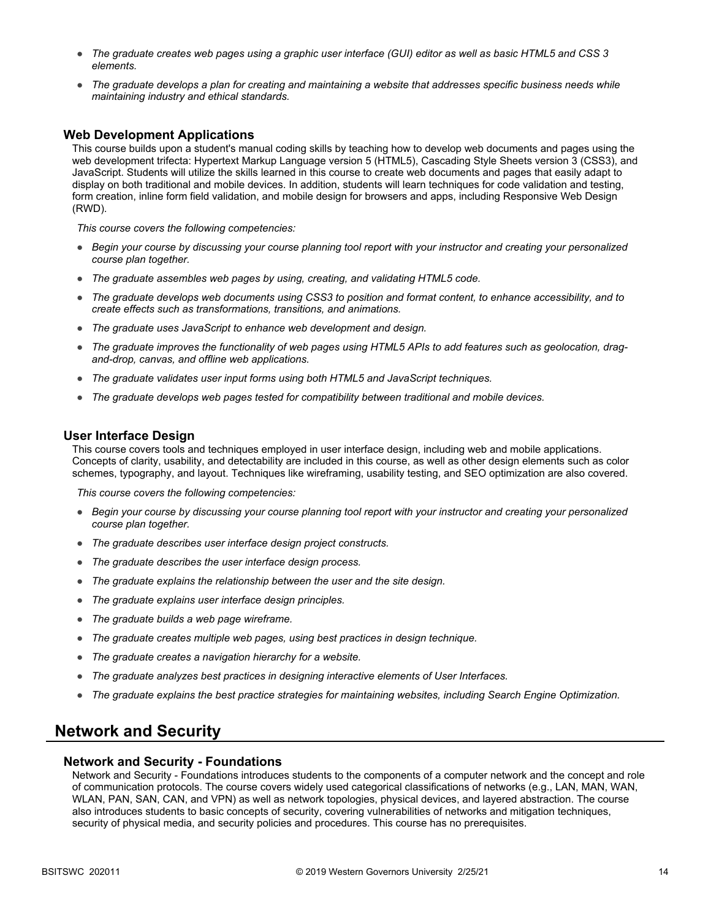- *The graduate creates web pages using a graphic user interface (GUI) editor as well as basic HTML5 and CSS 3 elements.*
- *The graduate develops a plan for creating and maintaining a website that addresses specific business needs while maintaining industry and ethical standards.*

### **Web Development Applications**

This course builds upon a student's manual coding skills by teaching how to develop web documents and pages using the web development trifecta: Hypertext Markup Language version 5 (HTML5), Cascading Style Sheets version 3 (CSS3), and JavaScript. Students will utilize the skills learned in this course to create web documents and pages that easily adapt to display on both traditional and mobile devices. In addition, students will learn techniques for code validation and testing, form creation, inline form field validation, and mobile design for browsers and apps, including Responsive Web Design (RWD).

*This course covers the following competencies:*

- *Begin your course by discussing your course planning tool report with your instructor and creating your personalized course plan together.*
- *The graduate assembles web pages by using, creating, and validating HTML5 code.*
- *The graduate develops web documents using CSS3 to position and format content, to enhance accessibility, and to create effects such as transformations, transitions, and animations.*
- *The graduate uses JavaScript to enhance web development and design.*
- *The graduate improves the functionality of web pages using HTML5 APIs to add features such as geolocation, dragand-drop, canvas, and offline web applications.*
- *The graduate validates user input forms using both HTML5 and JavaScript techniques.*
- *The graduate develops web pages tested for compatibility between traditional and mobile devices.*

#### **User Interface Design**

This course covers tools and techniques employed in user interface design, including web and mobile applications. Concepts of clarity, usability, and detectability are included in this course, as well as other design elements such as color schemes, typography, and layout. Techniques like wireframing, usability testing, and SEO optimization are also covered.

*This course covers the following competencies:*

- *Begin your course by discussing your course planning tool report with your instructor and creating your personalized course plan together.*
- *The graduate describes user interface design project constructs.*
- *The graduate describes the user interface design process.*
- *The graduate explains the relationship between the user and the site design.*
- *The graduate explains user interface design principles.*
- *The graduate builds a web page wireframe.*
- *The graduate creates multiple web pages, using best practices in design technique.*
- *The graduate creates a navigation hierarchy for a website.*
- *The graduate analyzes best practices in designing interactive elements of User Interfaces.*
- *The graduate explains the best practice strategies for maintaining websites, including Search Engine Optimization.*

### **Network and Security**

#### **Network and Security - Foundations**

Network and Security - Foundations introduces students to the components of a computer network and the concept and role of communication protocols. The course covers widely used categorical classifications of networks (e.g., LAN, MAN, WAN, WLAN, PAN, SAN, CAN, and VPN) as well as network topologies, physical devices, and layered abstraction. The course also introduces students to basic concepts of security, covering vulnerabilities of networks and mitigation techniques, security of physical media, and security policies and procedures. This course has no prerequisites.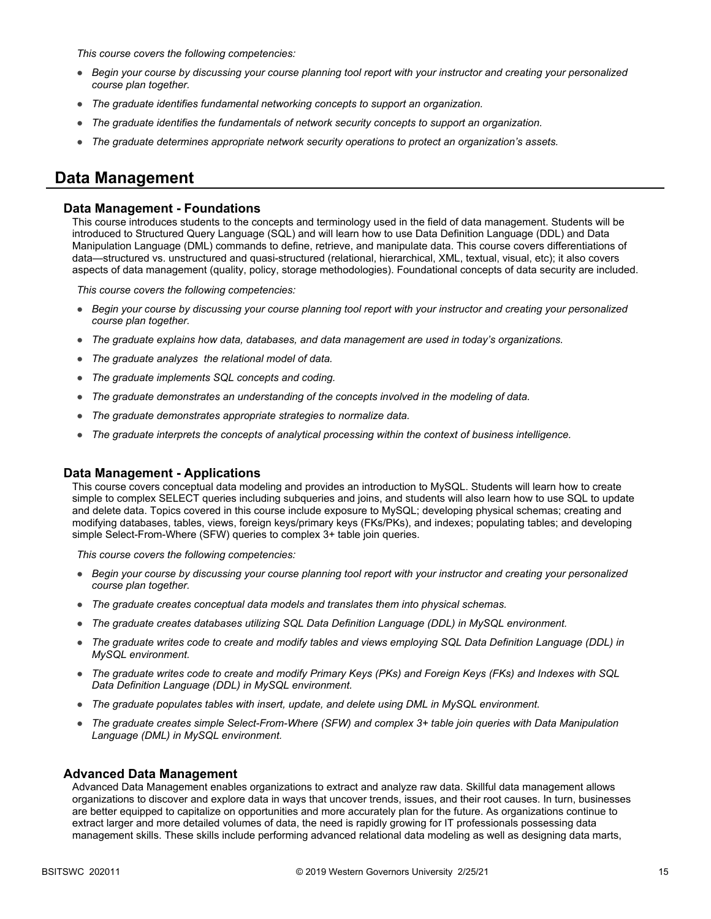*This course covers the following competencies:*

- *Begin your course by discussing your course planning tool report with your instructor and creating your personalized course plan together.*
- *The graduate identifies fundamental networking concepts to support an organization.*
- *The graduate identifies the fundamentals of network security concepts to support an organization.*
- *The graduate determines appropriate network security operations to protect an organization's assets.*

### **Data Management**

### **Data Management - Foundations**

This course introduces students to the concepts and terminology used in the field of data management. Students will be introduced to Structured Query Language (SQL) and will learn how to use Data Definition Language (DDL) and Data Manipulation Language (DML) commands to define, retrieve, and manipulate data. This course covers differentiations of data—structured vs. unstructured and quasi-structured (relational, hierarchical, XML, textual, visual, etc); it also covers aspects of data management (quality, policy, storage methodologies). Foundational concepts of data security are included.

*This course covers the following competencies:*

- *Begin your course by discussing your course planning tool report with your instructor and creating your personalized course plan together.*
- *The graduate explains how data, databases, and data management are used in today's organizations.*
- *The graduate analyzes the relational model of data.*
- *The graduate implements SQL concepts and coding.*
- *The graduate demonstrates an understanding of the concepts involved in the modeling of data.*
- *The graduate demonstrates appropriate strategies to normalize data.*
- *The graduate interprets the concepts of analytical processing within the context of business intelligence.*

### **Data Management - Applications**

This course covers conceptual data modeling and provides an introduction to MySQL. Students will learn how to create simple to complex SELECT queries including subqueries and joins, and students will also learn how to use SQL to update and delete data. Topics covered in this course include exposure to MySQL; developing physical schemas; creating and modifying databases, tables, views, foreign keys/primary keys (FKs/PKs), and indexes; populating tables; and developing simple Select-From-Where (SFW) queries to complex 3+ table join queries.

*This course covers the following competencies:*

- *Begin your course by discussing your course planning tool report with your instructor and creating your personalized course plan together.*
- *The graduate creates conceptual data models and translates them into physical schemas.*
- *The graduate creates databases utilizing SQL Data Definition Language (DDL) in MySQL environment.*
- *The graduate writes code to create and modify tables and views employing SQL Data Definition Language (DDL) in MySQL environment.*
- *The graduate writes code to create and modify Primary Keys (PKs) and Foreign Keys (FKs) and Indexes with SQL Data Definition Language (DDL) in MySQL environment.*
- The graduate populates tables with insert, update, and delete using DML in MySQL environment.
- *The graduate creates simple Select-From-Where (SFW) and complex 3+ table join queries with Data Manipulation Language (DML) in MySQL environment.*

#### **Advanced Data Management**

Advanced Data Management enables organizations to extract and analyze raw data. Skillful data management allows organizations to discover and explore data in ways that uncover trends, issues, and their root causes. In turn, businesses are better equipped to capitalize on opportunities and more accurately plan for the future. As organizations continue to extract larger and more detailed volumes of data, the need is rapidly growing for IT professionals possessing data management skills. These skills include performing advanced relational data modeling as well as designing data marts,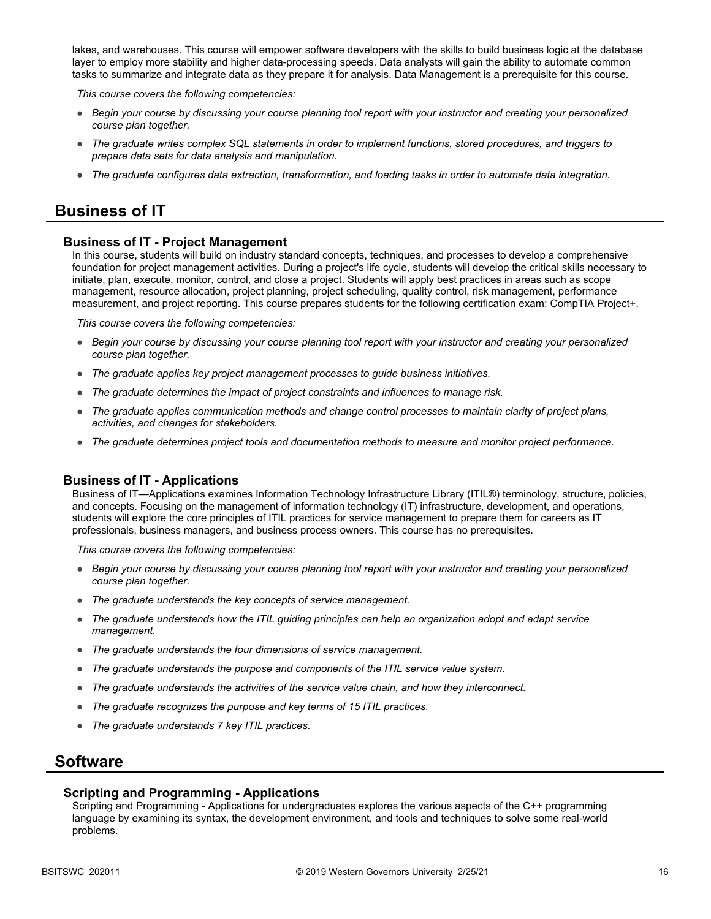lakes, and warehouses. This course will empower software developers with the skills to build business logic at the database layer to employ more stability and higher data-processing speeds. Data analysts will gain the ability to automate common tasks to summarize and integrate data as they prepare it for analysis. Data Management is a prerequisite for this course.

*This course covers the following competencies:*

- *Begin your course by discussing your course planning tool report with your instructor and creating your personalized course plan together.*
- *The graduate writes complex SQL statements in order to implement functions, stored procedures, and triggers to prepare data sets for data analysis and manipulation.*
- *The graduate configures data extraction, transformation, and loading tasks in order to automate data integration.*

### **Business of IT**

### **Business of IT - Project Management**

In this course, students will build on industry standard concepts, techniques, and processes to develop a comprehensive foundation for project management activities. During a project's life cycle, students will develop the critical skills necessary to initiate, plan, execute, monitor, control, and close a project. Students will apply best practices in areas such as scope management, resource allocation, project planning, project scheduling, quality control, risk management, performance measurement, and project reporting. This course prepares students for the following certification exam: CompTIA Project+.

*This course covers the following competencies:*

- *Begin your course by discussing your course planning tool report with your instructor and creating your personalized course plan together.*
- *The graduate applies key project management processes to guide business initiatives.*
- *The graduate determines the impact of project constraints and influences to manage risk.*
- *The graduate applies communication methods and change control processes to maintain clarity of project plans, activities, and changes for stakeholders.*
- *The graduate determines project tools and documentation methods to measure and monitor project performance.*

#### **Business of IT - Applications**

Business of IT—Applications examines Information Technology Infrastructure Library (ITIL®) terminology, structure, policies, and concepts. Focusing on the management of information technology (IT) infrastructure, development, and operations, students will explore the core principles of ITIL practices for service management to prepare them for careers as IT professionals, business managers, and business process owners. This course has no prerequisites.

*This course covers the following competencies:*

- *Begin your course by discussing your course planning tool report with your instructor and creating your personalized course plan together.*
- *The graduate understands the key concepts of service management.*
- *The graduate understands how the ITIL guiding principles can help an organization adopt and adapt service management.*
- *The graduate understands the four dimensions of service management.*
- *The graduate understands the purpose and components of the ITIL service value system.*
- *The graduate understands the activities of the service value chain, and how they interconnect.*
- *The graduate recognizes the purpose and key terms of 15 ITIL practices.*
- *The graduate understands 7 key ITIL practices.*

### **Software**

#### **Scripting and Programming - Applications**

Scripting and Programming - Applications for undergraduates explores the various aspects of the C++ programming language by examining its syntax, the development environment, and tools and techniques to solve some real-world problems.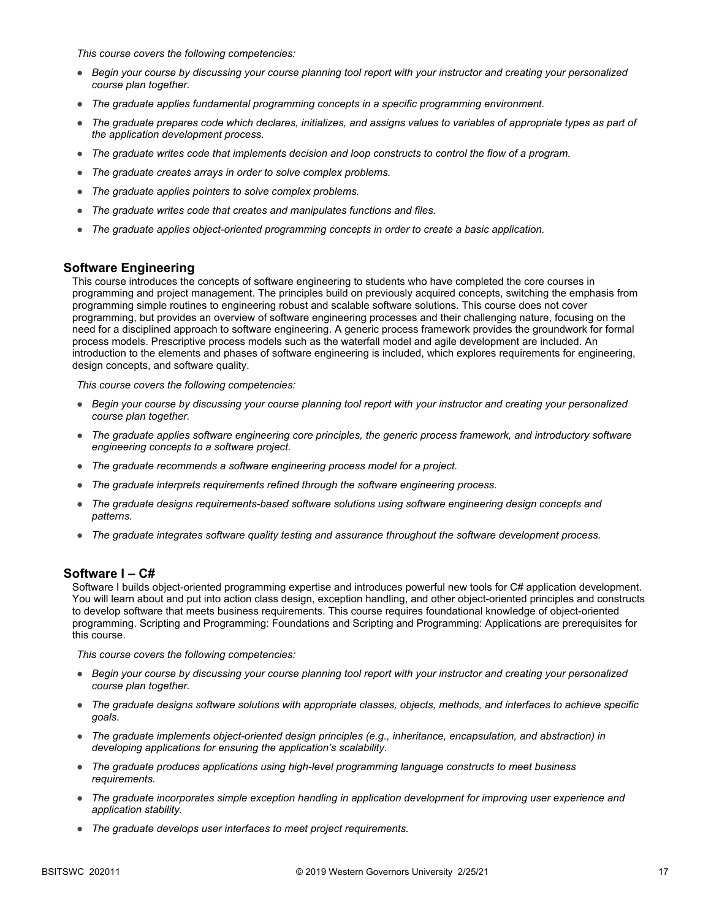*This course covers the following competencies:*

- *Begin your course by discussing your course planning tool report with your instructor and creating your personalized course plan together.*
- *The graduate applies fundamental programming concepts in a specific programming environment.*
- *The graduate prepares code which declares, initializes, and assigns values to variables of appropriate types as part of the application development process.*
- *The graduate writes code that implements decision and loop constructs to control the flow of a program.*
- *The graduate creates arrays in order to solve complex problems.*
- *The graduate applies pointers to solve complex problems.*
- *The graduate writes code that creates and manipulates functions and files.*
- *The graduate applies object-oriented programming concepts in order to create a basic application.*

### **Software Engineering**

This course introduces the concepts of software engineering to students who have completed the core courses in programming and project management. The principles build on previously acquired concepts, switching the emphasis from programming simple routines to engineering robust and scalable software solutions. This course does not cover programming, but provides an overview of software engineering processes and their challenging nature, focusing on the need for a disciplined approach to software engineering. A generic process framework provides the groundwork for formal process models. Prescriptive process models such as the waterfall model and agile development are included. An introduction to the elements and phases of software engineering is included, which explores requirements for engineering, design concepts, and software quality.

*This course covers the following competencies:*

- *Begin your course by discussing your course planning tool report with your instructor and creating your personalized course plan together.*
- *The graduate applies software engineering core principles, the generic process framework, and introductory software engineering concepts to a software project.*
- *The graduate recommends a software engineering process model for a project.*
- *The graduate interprets requirements refined through the software engineering process.*
- The graduate designs requirements-based software solutions using software engineering design concepts and *patterns.*
- *The graduate integrates software quality testing and assurance throughout the software development process.*

### **Software I – C#**

Software I builds object-oriented programming expertise and introduces powerful new tools for C# application development. You will learn about and put into action class design, exception handling, and other object-oriented principles and constructs to develop software that meets business requirements. This course requires foundational knowledge of object-oriented programming. Scripting and Programming: Foundations and Scripting and Programming: Applications are prerequisites for this course.

- *Begin your course by discussing your course planning tool report with your instructor and creating your personalized course plan together.*
- *The graduate designs software solutions with appropriate classes, objects, methods, and interfaces to achieve specific goals.*
- *The graduate implements object-oriented design principles (e.g., inheritance, encapsulation, and abstraction) in developing applications for ensuring the application's scalability.*
- *The graduate produces applications using high-level programming language constructs to meet business requirements.*
- *The graduate incorporates simple exception handling in application development for improving user experience and application stability.*
- *The graduate develops user interfaces to meet project requirements.*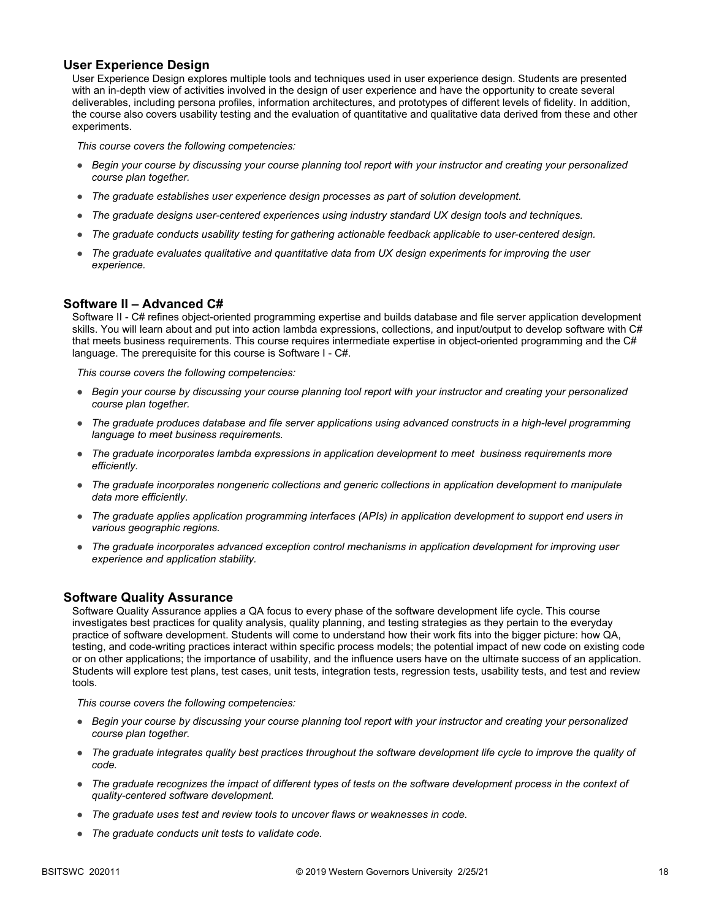### **User Experience Design**

User Experience Design explores multiple tools and techniques used in user experience design. Students are presented with an in-depth view of activities involved in the design of user experience and have the opportunity to create several deliverables, including persona profiles, information architectures, and prototypes of different levels of fidelity. In addition, the course also covers usability testing and the evaluation of quantitative and qualitative data derived from these and other experiments.

*This course covers the following competencies:*

- *Begin your course by discussing your course planning tool report with your instructor and creating your personalized course plan together.*
- *The graduate establishes user experience design processes as part of solution development.*
- *The graduate designs user-centered experiences using industry standard UX design tools and techniques.*
- *The graduate conducts usability testing for gathering actionable feedback applicable to user-centered design.*
- *The graduate evaluates qualitative and quantitative data from UX design experiments for improving the user experience.*

### **Software II – Advanced C#**

Software II - C# refines object-oriented programming expertise and builds database and file server application development skills. You will learn about and put into action lambda expressions, collections, and input/output to develop software with C# that meets business requirements. This course requires intermediate expertise in object-oriented programming and the C# language. The prerequisite for this course is Software I - C#.

*This course covers the following competencies:*

- *Begin your course by discussing your course planning tool report with your instructor and creating your personalized course plan together.*
- *The graduate produces database and file server applications using advanced constructs in a high-level programming language to meet business requirements.*
- *The graduate incorporates lambda expressions in application development to meet business requirements more efficiently.*
- *The graduate incorporates nongeneric collections and generic collections in application development to manipulate data more efficiently.*
- *The graduate applies application programming interfaces (APIs) in application development to support end users in various geographic regions.*
- *The graduate incorporates advanced exception control mechanisms in application development for improving user experience and application stability.*

### **Software Quality Assurance**

Software Quality Assurance applies a QA focus to every phase of the software development life cycle. This course investigates best practices for quality analysis, quality planning, and testing strategies as they pertain to the everyday practice of software development. Students will come to understand how their work fits into the bigger picture: how QA, testing, and code-writing practices interact within specific process models; the potential impact of new code on existing code or on other applications; the importance of usability, and the influence users have on the ultimate success of an application. Students will explore test plans, test cases, unit tests, integration tests, regression tests, usability tests, and test and review tools.

- *Begin your course by discussing your course planning tool report with your instructor and creating your personalized course plan together.*
- *The graduate integrates quality best practices throughout the software development life cycle to improve the quality of code.*
- *The graduate recognizes the impact of different types of tests on the software development process in the context of quality-centered software development.*
- *The graduate uses test and review tools to uncover flaws or weaknesses in code.*
- *The graduate conducts unit tests to validate code.*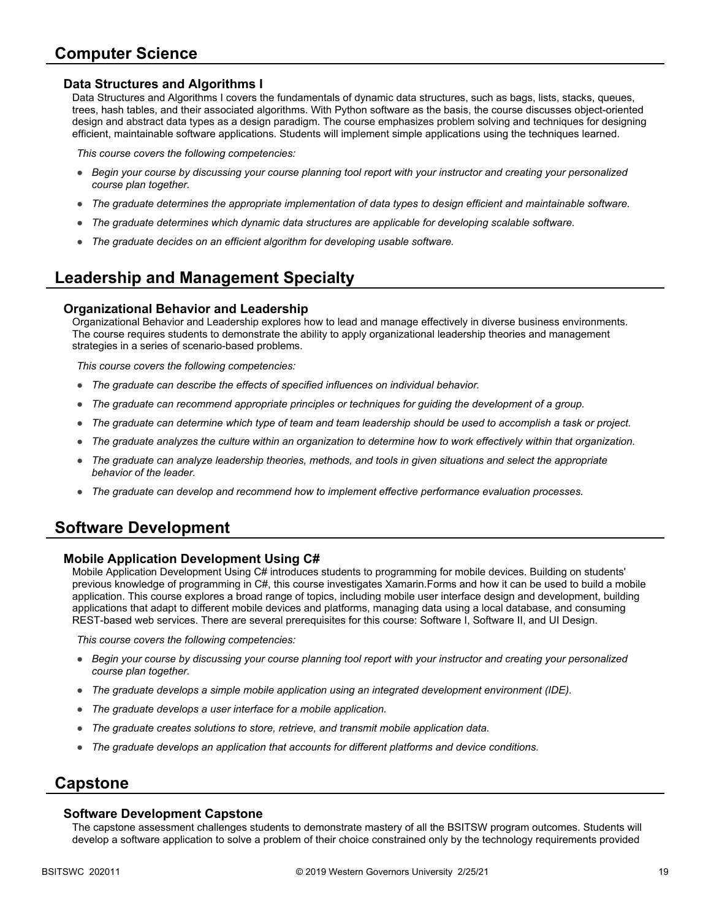# **Computer Science**

### **Data Structures and Algorithms I**

Data Structures and Algorithms I covers the fundamentals of dynamic data structures, such as bags, lists, stacks, queues, trees, hash tables, and their associated algorithms. With Python software as the basis, the course discusses object-oriented design and abstract data types as a design paradigm. The course emphasizes problem solving and techniques for designing efficient, maintainable software applications. Students will implement simple applications using the techniques learned.

*This course covers the following competencies:*

- *Begin your course by discussing your course planning tool report with your instructor and creating your personalized course plan together.*
- *The graduate determines the appropriate implementation of data types to design efficient and maintainable software.*
- *The graduate determines which dynamic data structures are applicable for developing scalable software.*
- *The graduate decides on an efficient algorithm for developing usable software.*

# **Leadership and Management Specialty**

### **Organizational Behavior and Leadership**

Organizational Behavior and Leadership explores how to lead and manage effectively in diverse business environments. The course requires students to demonstrate the ability to apply organizational leadership theories and management strategies in a series of scenario-based problems.

*This course covers the following competencies:*

- *The graduate can describe the effects of specified influences on individual behavior.*
- *The graduate can recommend appropriate principles or techniques for guiding the development of a group.*
- *The graduate can determine which type of team and team leadership should be used to accomplish a task or project.*
- *The graduate analyzes the culture within an organization to determine how to work effectively within that organization.*
- *The graduate can analyze leadership theories, methods, and tools in given situations and select the appropriate behavior of the leader.*
- *The graduate can develop and recommend how to implement effective performance evaluation processes.*

### **Software Development**

### **Mobile Application Development Using C#**

Mobile Application Development Using C# introduces students to programming for mobile devices. Building on students' previous knowledge of programming in C#, this course investigates Xamarin.Forms and how it can be used to build a mobile application. This course explores a broad range of topics, including mobile user interface design and development, building applications that adapt to different mobile devices and platforms, managing data using a local database, and consuming REST-based web services. There are several prerequisites for this course: Software I, Software II, and UI Design.

*This course covers the following competencies:*

- *Begin your course by discussing your course planning tool report with your instructor and creating your personalized course plan together.*
- *The graduate develops a simple mobile application using an integrated development environment (IDE).*
- *The graduate develops a user interface for a mobile application.*
- *The graduate creates solutions to store, retrieve, and transmit mobile application data.*
- *The graduate develops an application that accounts for different platforms and device conditions.*

### **Capstone**

#### **Software Development Capstone**

The capstone assessment challenges students to demonstrate mastery of all the BSITSW program outcomes. Students will develop a software application to solve a problem of their choice constrained only by the technology requirements provided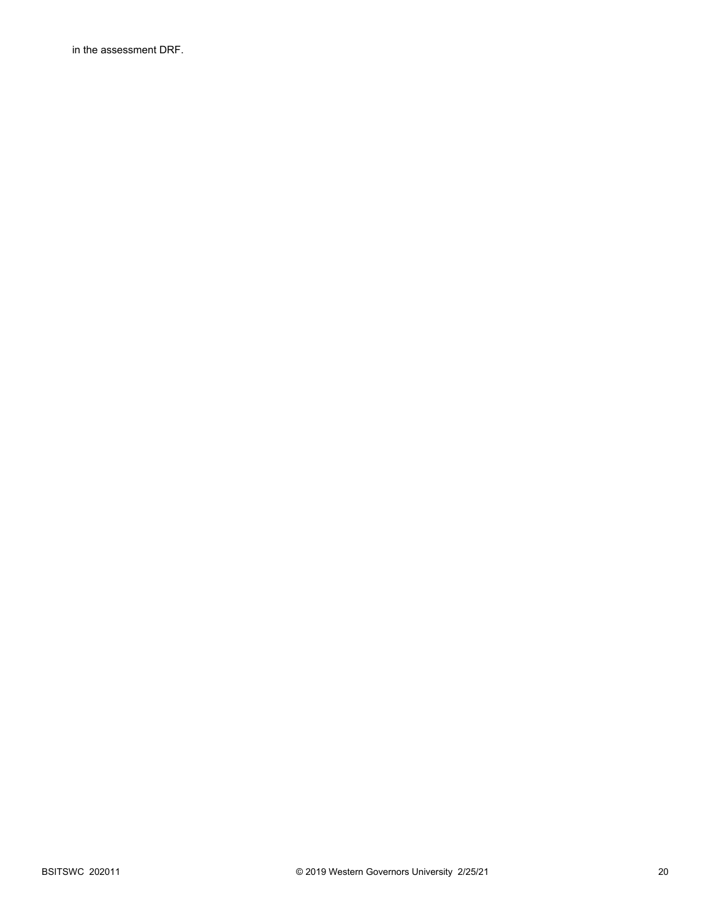in the assessment DRF.